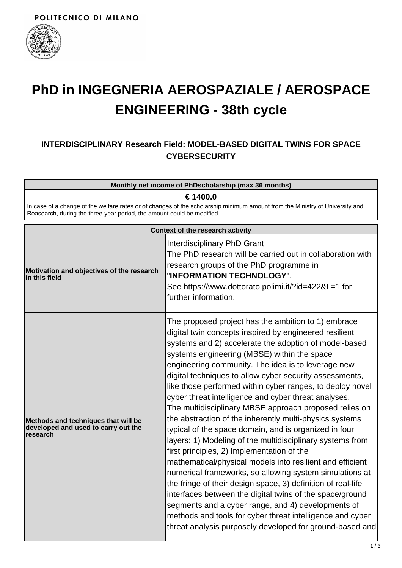

## **PhD in INGEGNERIA AEROSPAZIALE / AEROSPACE ENGINEERING - 38th cycle**

## **INTERDISCIPLINARY Research Field: MODEL-BASED DIGITAL TWINS FOR SPACE CYBERSECURITY**

**Monthly net income of PhDscholarship (max 36 months)**

**€ 1400.0**

In case of a change of the welfare rates or of changes of the scholarship minimum amount from the Ministry of University and Reasearch, during the three-year period, the amount could be modified.

| <b>Context of the research activity</b>                                                |                                                                                                                                                                                                                                                                                                                                                                                                                                                                                                                                                                                                                                                                                                                                                                                                                                                                                                                                                                                                                                                                                                                                                                                         |  |
|----------------------------------------------------------------------------------------|-----------------------------------------------------------------------------------------------------------------------------------------------------------------------------------------------------------------------------------------------------------------------------------------------------------------------------------------------------------------------------------------------------------------------------------------------------------------------------------------------------------------------------------------------------------------------------------------------------------------------------------------------------------------------------------------------------------------------------------------------------------------------------------------------------------------------------------------------------------------------------------------------------------------------------------------------------------------------------------------------------------------------------------------------------------------------------------------------------------------------------------------------------------------------------------------|--|
| Motivation and objectives of the research<br>in this field                             | <b>Interdisciplinary PhD Grant</b><br>The PhD research will be carried out in collaboration with<br>research groups of the PhD programme in<br>"INFORMATION TECHNOLOGY".<br>See https://www.dottorato.polimi.it/?id=422&L=1 for<br>further information.                                                                                                                                                                                                                                                                                                                                                                                                                                                                                                                                                                                                                                                                                                                                                                                                                                                                                                                                 |  |
| Methods and techniques that will be<br>developed and used to carry out the<br>research | The proposed project has the ambition to 1) embrace<br>digital twin concepts inspired by engineered resilient<br>systems and 2) accelerate the adoption of model-based<br>systems engineering (MBSE) within the space<br>engineering community. The idea is to leverage new<br>digital techniques to allow cyber security assessments,<br>like those performed within cyber ranges, to deploy novel<br>cyber threat intelligence and cyber threat analyses.<br>The multidisciplinary MBSE approach proposed relies on<br>the abstraction of the inherently multi-physics systems<br>typical of the space domain, and is organized in four<br>layers: 1) Modeling of the multidisciplinary systems from<br>first principles, 2) Implementation of the<br>mathematical/physical models into resilient and efficient<br>numerical frameworks, so allowing system simulations at<br>the fringe of their design space, 3) definition of real-life<br>interfaces between the digital twins of the space/ground<br>segments and a cyber range, and 4) developments of<br>methods and tools for cyber threat intelligence and cyber<br>threat analysis purposely developed for ground-based and |  |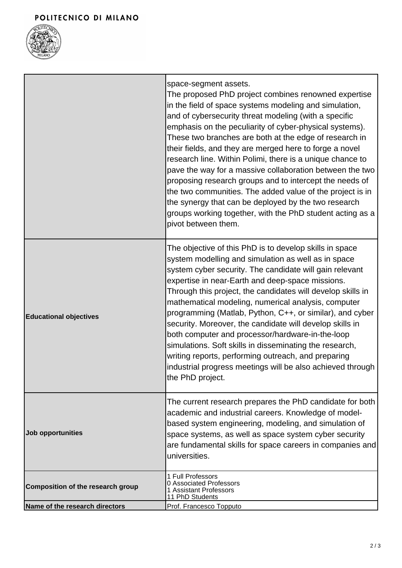

|                                   | space-segment assets.<br>The proposed PhD project combines renowned expertise<br>in the field of space systems modeling and simulation,<br>and of cybersecurity threat modeling (with a specific<br>emphasis on the peculiarity of cyber-physical systems).<br>These two branches are both at the edge of research in<br>their fields, and they are merged here to forge a novel<br>research line. Within Polimi, there is a unique chance to<br>pave the way for a massive collaboration between the two<br>proposing research groups and to intercept the needs of<br>the two communities. The added value of the project is in<br>the synergy that can be deployed by the two research<br>groups working together, with the PhD student acting as a<br>pivot between them. |
|-----------------------------------|-------------------------------------------------------------------------------------------------------------------------------------------------------------------------------------------------------------------------------------------------------------------------------------------------------------------------------------------------------------------------------------------------------------------------------------------------------------------------------------------------------------------------------------------------------------------------------------------------------------------------------------------------------------------------------------------------------------------------------------------------------------------------------|
| <b>Educational objectives</b>     | The objective of this PhD is to develop skills in space<br>system modelling and simulation as well as in space<br>system cyber security. The candidate will gain relevant<br>expertise in near-Earth and deep-space missions.<br>Through this project, the candidates will develop skills in<br>mathematical modeling, numerical analysis, computer<br>programming (Matlab, Python, C++, or similar), and cyber<br>security. Moreover, the candidate will develop skills in<br>both computer and processor/hardware-in-the-loop<br>simulations. Soft skills in disseminating the research,<br>writing reports, performing outreach, and preparing<br>industrial progress meetings will be also achieved through<br>the PhD project.                                           |
| Job opportunities                 | The current research prepares the PhD candidate for both<br>academic and industrial careers. Knowledge of model-<br>based system engineering, modeling, and simulation of<br>space systems, as well as space system cyber security<br>are fundamental skills for space careers in companies and<br>universities.                                                                                                                                                                                                                                                                                                                                                                                                                                                              |
| Composition of the research group | 1 Full Professors<br>0 Associated Professors<br>1 Assistant Professors<br>11 PhD Students                                                                                                                                                                                                                                                                                                                                                                                                                                                                                                                                                                                                                                                                                     |
| Name of the research directors    | Prof. Francesco Topputo                                                                                                                                                                                                                                                                                                                                                                                                                                                                                                                                                                                                                                                                                                                                                       |